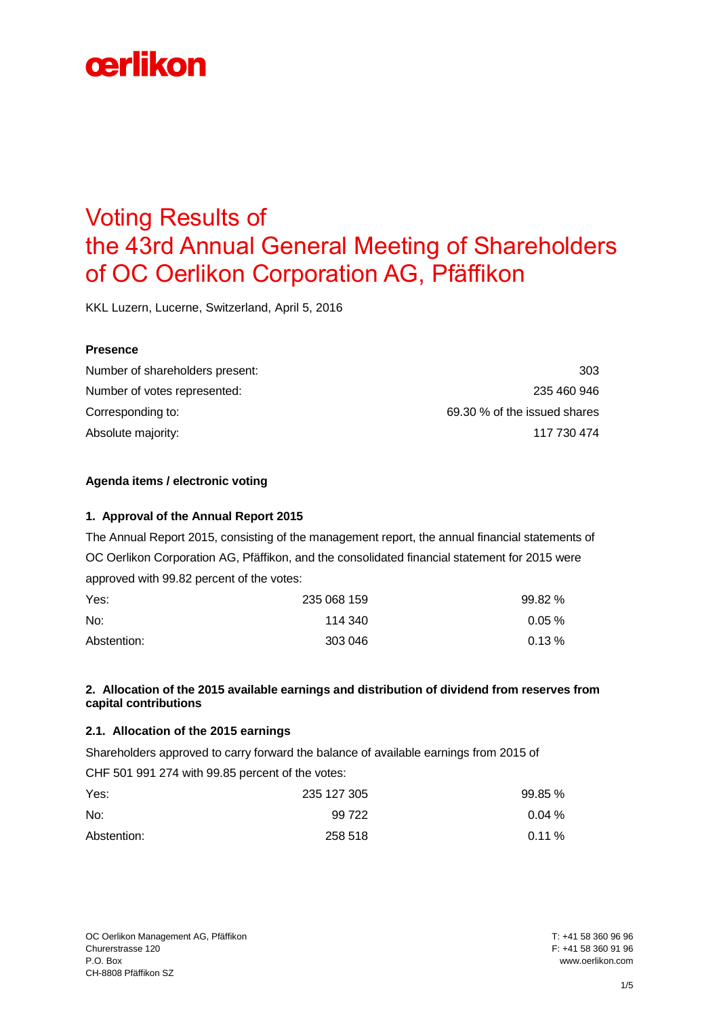# Voting Results of the 43rd Annual General Meeting of Shareholders of OC Oerlikon Corporation AG, Pfäffikon

KKL Luzern, Lucerne, Switzerland, April 5, 2016

#### **Presence**

| Number of shareholders present: | 303                          |
|---------------------------------|------------------------------|
| Number of votes represented:    | 235 460 946                  |
| Corresponding to:               | 69.30 % of the issued shares |
| Absolute majority:              | 117 730 474                  |

#### **Agenda items / electronic voting**

#### **1. Approval of the Annual Report 2015**

The Annual Report 2015, consisting of the management report, the annual financial statements of OC Oerlikon Corporation AG, Pfäffikon, and the consolidated financial statement for 2015 were approved with 99.82 percent of the votes:

| Yes:        | 235 068 159 | 99.82 % |
|-------------|-------------|---------|
| No:         | 114 340     | 0.05%   |
| Abstention: | 303 046     | 0.13%   |

#### **2. Allocation of the 2015 available earnings and distribution of dividend from reserves from capital contributions**

#### **2.1. Allocation of the 2015 earnings**

Shareholders approved to carry forward the balance of available earnings from 2015 of

CHF 501 991 274 with 99.85 percent of the votes:

| Yes:        | 235 127 305 | 99.85 %    |
|-------------|-------------|------------|
| No:         | 99 722      | $0.04\,\%$ |
| Abstention: | 258 518     | $0.11\%$   |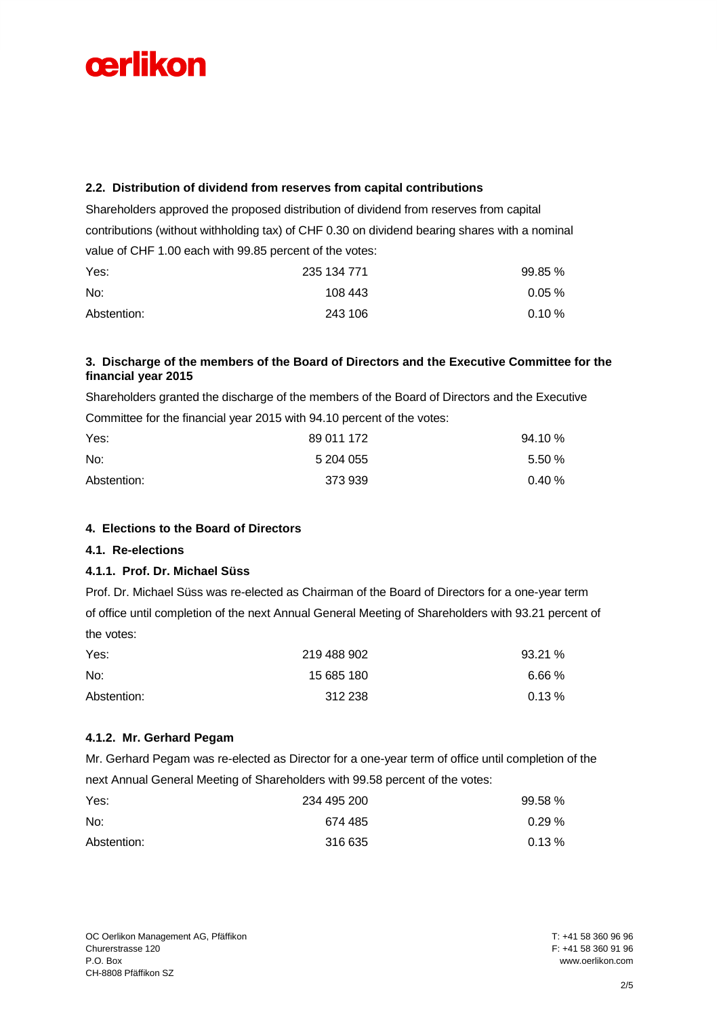### **2.2. Distribution of dividend from reserves from capital contributions**

Shareholders approved the proposed distribution of dividend from reserves from capital contributions (without withholding tax) of CHF 0.30 on dividend bearing shares with a nominal value of CHF 1.00 each with 99.85 percent of the votes:

| Yes:        | 235 134 771 | 99.85%   |
|-------------|-------------|----------|
| No:         | 108 443     | $0.05\%$ |
| Abstention: | 243 106     | 0.10%    |

#### **3. Discharge of the members of the Board of Directors and the Executive Committee for the financial year 2015**

Shareholders granted the discharge of the members of the Board of Directors and the Executive Committee for the financial year 2015 with 94.10 percent of the votes:

| Yes:        | 89 011 172 | 94.10 %   |
|-------------|------------|-----------|
| No:         | 5 204 055  | $5.50\%$  |
| Abstention: | 373 939    | $0.40 \%$ |

# **4. Elections to the Board of Directors**

# **4.1. Re-elections**

# **4.1.1. Prof. Dr. Michael Süss**

Prof. Dr. Michael Süss was re-elected as Chairman of the Board of Directors for a one-year term of office until completion of the next Annual General Meeting of Shareholders with 93.21 percent of the votes:

| Yes:        | 219 488 902 | 93.21 %  |
|-------------|-------------|----------|
| No:         | 15 685 180  | 6.66%    |
| Abstention: | 312 238     | $0.13\%$ |

# **4.1.2. Mr. Gerhard Pegam**

Mr. Gerhard Pegam was re-elected as Director for a one-year term of office until completion of the next Annual General Meeting of Shareholders with 99.58 percent of the votes:

| Yes:        | 234 495 200 | 99.58 %  |
|-------------|-------------|----------|
| No:         | 674 485     | $0.29\%$ |
| Abstention: | 316 635     | $0.13\%$ |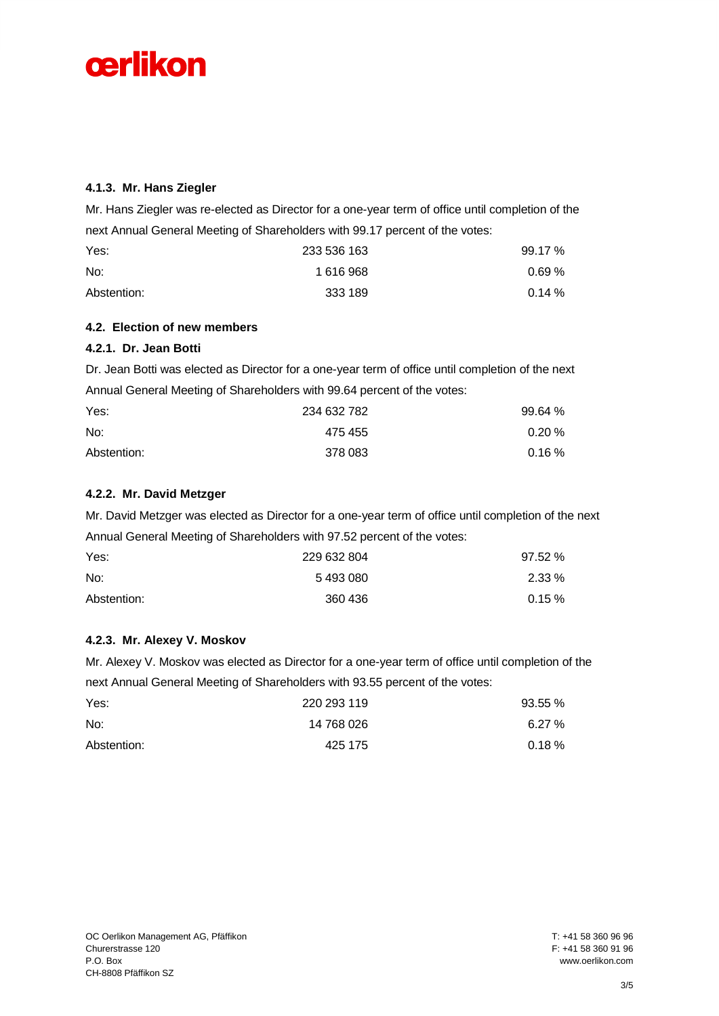

# **4.1.3. Mr. Hans Ziegler**

Mr. Hans Ziegler was re-elected as Director for a one-year term of office until completion of the next Annual General Meeting of Shareholders with 99.17 percent of the votes:

| Yes:        | 233 536 163 | 99.17 %    |
|-------------|-------------|------------|
| No:         | 1 616 968   | $0.69\,\%$ |
| Abstention: | 333 189     | $0.14 \%$  |

#### **4.2. Election of new members**

#### **4.2.1. Dr. Jean Botti**

Dr. Jean Botti was elected as Director for a one-year term of office until completion of the next Annual General Meeting of Shareholders with 99.64 percent of the votes:

| Yes:        | 234 632 782 | 99.64 %   |
|-------------|-------------|-----------|
| No:         | 475 455     | $0.20 \%$ |
| Abstention: | 378 083     | $0.16\%$  |

# **4.2.2. Mr. David Metzger**

Mr. David Metzger was elected as Director for a one-year term of office until completion of the next Annual General Meeting of Shareholders with 97.52 percent of the votes:

| Yes:        | 229 632 804 | 97.52 %  |
|-------------|-------------|----------|
| No:         | 5493080     | $2.33\%$ |
| Abstention: | 360 436     | $0.15\%$ |

#### **4.2.3. Mr. Alexey V. Moskov**

Mr. Alexey V. Moskov was elected as Director for a one-year term of office until completion of the next Annual General Meeting of Shareholders with 93.55 percent of the votes:

| Yes:        | 220 293 119 | 93.55% |
|-------------|-------------|--------|
| No:         | 14 768 026  | 6.27%  |
| Abstention: | 425 175     | 0.18%  |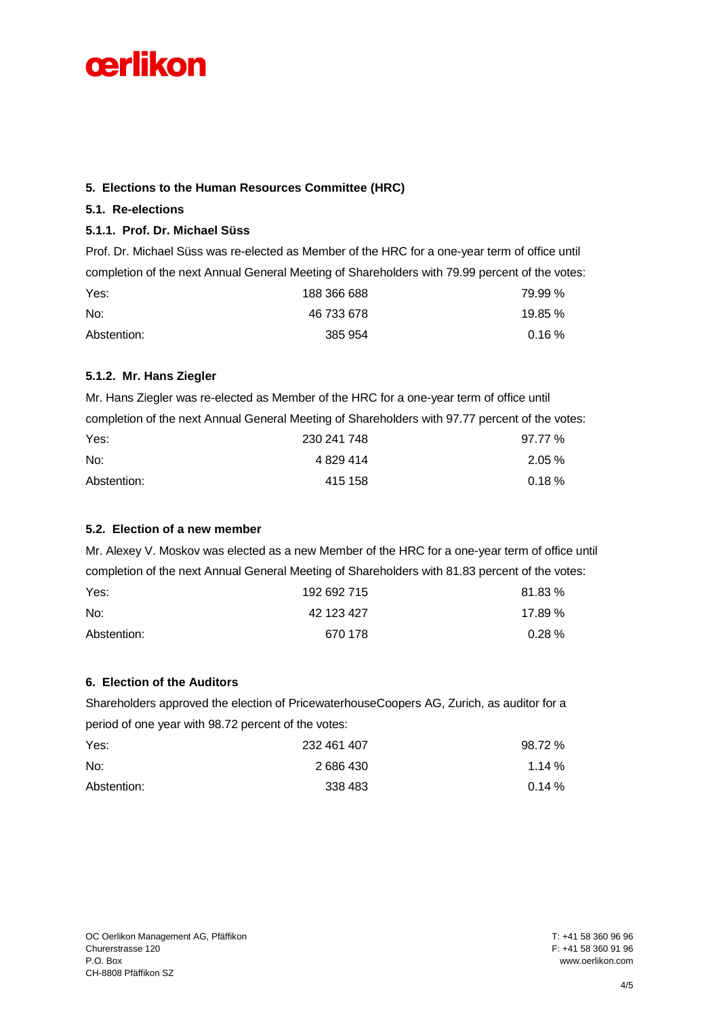# **5. Elections to the Human Resources Committee (HRC)**

# **5.1. Re-elections**

# **5.1.1. Prof. Dr. Michael Süss**

Prof. Dr. Michael Süss was re-elected as Member of the HRC for a one-year term of office until completion of the next Annual General Meeting of Shareholders with 79.99 percent of the votes: Yes: 79.99 % No: 46 733 678 19.85 % Abstention: 385 954 0.16 %

# **5.1.2. Mr. Hans Ziegler**

|             | Mr. Hans Ziegler was re-elected as Member of the HRC for a one-year term of office until       |           |
|-------------|------------------------------------------------------------------------------------------------|-----------|
|             | completion of the next Annual General Meeting of Shareholders with 97.77 percent of the votes: |           |
| Yes:        | 230 241 748                                                                                    | 97.77%    |
| No:         | 4 829 414                                                                                      | $2.05\%$  |
| Abstention: | 415 158                                                                                        | $0.18 \%$ |

# **5.2. Election of a new member**

Mr. Alexey V. Moskov was elected as a new Member of the HRC for a one-year term of office until completion of the next Annual General Meeting of Shareholders with 81.83 percent of the votes:

| Yes:        | 192 692 715 | 81.83 %   |
|-------------|-------------|-----------|
| No:         | 42 123 427  | 17.89 %   |
| Abstention: | 670 178     | $0.28 \%$ |

# **6. Election of the Auditors**

|                                                     | Shareholders approved the election of PricewaterhouseCoopers AG, Zurich, as auditor for a |           |
|-----------------------------------------------------|-------------------------------------------------------------------------------------------|-----------|
| period of one year with 98.72 percent of the votes: |                                                                                           |           |
| Yes:                                                | 232 461 407                                                                               | $98.72\%$ |
| No:                                                 | 2686430                                                                                   | 1.14%     |
| Abstention:                                         | 338 483                                                                                   | $0.14 \%$ |